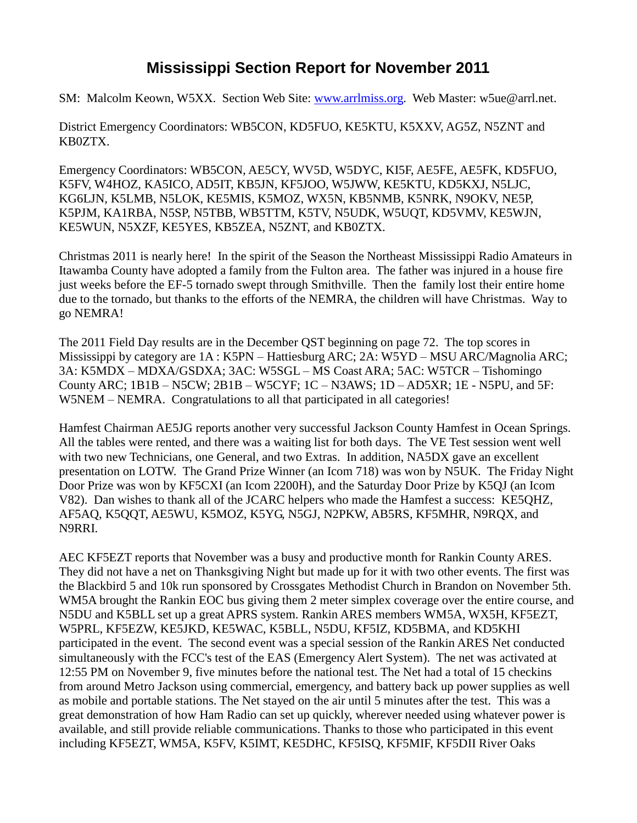## **Mississippi Section Report for November 2011**

SM: Malcolm Keown, W5XX. Section Web Site: [www.arrlmiss.org.](http://www.arrlmiss.org/) Web Master: w5ue@arrl.net.

District Emergency Coordinators: WB5CON, KD5FUO, KE5KTU, K5XXV, AG5Z, N5ZNT and KB0ZTX.

Emergency Coordinators: WB5CON, AE5CY, WV5D, W5DYC, KI5F, AE5FE, AE5FK, KD5FUO, K5FV, W4HOZ, KA5ICO, AD5IT, KB5JN, KF5JOO, W5JWW, KE5KTU, KD5KXJ, N5LJC, KG6LJN, K5LMB, N5LOK, KE5MIS, K5MOZ, WX5N, KB5NMB, K5NRK, N9OKV, NE5P, K5PJM, KA1RBA, N5SP, N5TBB, WB5TTM, K5TV, N5UDK, W5UQT, KD5VMV, KE5WJN, KE5WUN, N5XZF, KE5YES, KB5ZEA, N5ZNT, and KB0ZTX.

Christmas 2011 is nearly here! In the spirit of the Season the Northeast Mississippi Radio Amateurs in Itawamba County have adopted a family from the Fulton area. The father was injured in a house fire just weeks before the EF-5 tornado swept through Smithville. Then the family lost their entire home due to the tornado, but thanks to the efforts of the NEMRA, the children will have Christmas. Way to go NEMRA!

The 2011 Field Day results are in the December QST beginning on page 72. The top scores in Mississippi by category are 1A : K5PN – Hattiesburg ARC; 2A: W5YD – MSU ARC/Magnolia ARC; 3A: K5MDX – MDXA/GSDXA; 3AC: W5SGL – MS Coast ARA; 5AC: W5TCR – Tishomingo County ARC; 1B1B – N5CW; 2B1B – W5CYF; 1C – N3AWS; 1D – AD5XR; 1E - N5PU, and 5F: W5NEM – NEMRA. Congratulations to all that participated in all categories!

Hamfest Chairman AE5JG reports another very successful Jackson County Hamfest in Ocean Springs. All the tables were rented, and there was a waiting list for both days. The VE Test session went well with two new Technicians, one General, and two Extras. In addition, NA5DX gave an excellent presentation on LOTW. The Grand Prize Winner (an Icom 718) was won by N5UK. The Friday Night Door Prize was won by KF5CXI (an Icom 2200H), and the Saturday Door Prize by K5QJ (an Icom V82). Dan wishes to thank all of the JCARC helpers who made the Hamfest a success: KE5QHZ, AF5AQ, K5QQT, AE5WU, K5MOZ, K5YG, N5GJ, N2PKW, AB5RS, KF5MHR, N9RQX, and N9RRI.

AEC KF5EZT reports that November was a busy and productive month for Rankin County ARES. They did not have a net on Thanksgiving Night but made up for it with two other events. The first was the Blackbird 5 and 10k run sponsored by Crossgates Methodist Church in Brandon on November 5th. WM5A brought the Rankin EOC bus giving them 2 meter simplex coverage over the entire course, and N5DU and K5BLL set up a great APRS system. Rankin ARES members WM5A, WX5H, KF5EZT, W5PRL, KF5EZW, KE5JKD, KE5WAC, K5BLL, N5DU, KF5IZ, KD5BMA, and KD5KHI participated in the event. The second event was a special session of the Rankin ARES Net conducted simultaneously with the FCC's test of the EAS (Emergency Alert System). The net was activated at 12:55 PM on November 9, five minutes before the national test. The Net had a total of 15 checkins from around Metro Jackson using commercial, emergency, and battery back up power supplies as well as mobile and portable stations. The Net stayed on the air until 5 minutes after the test. This was a great demonstration of how Ham Radio can set up quickly, wherever needed using whatever power is available, and still provide reliable communications. Thanks to those who participated in this event including KF5EZT, WM5A, K5FV, K5IMT, KE5DHC, KF5ISQ, KF5MIF, KF5DII River Oaks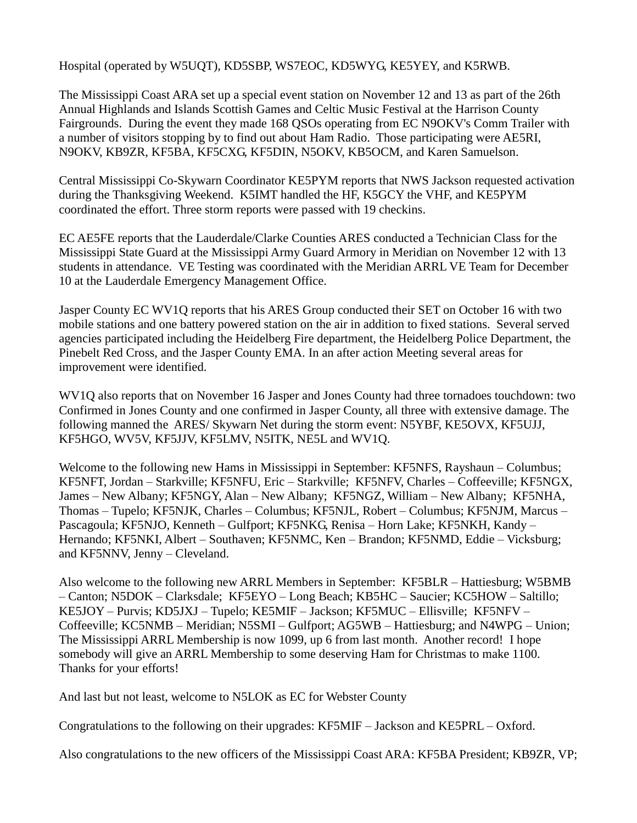Hospital (operated by W5UQT), KD5SBP, WS7EOC, KD5WYG, KE5YEY, and K5RWB.

The Mississippi Coast ARA set up a special event station on November 12 and 13 as part of the 26th Annual Highlands and Islands Scottish Games and Celtic Music Festival at the Harrison County Fairgrounds. During the event they made 168 QSOs operating from EC N9OKV's Comm Trailer with a number of visitors stopping by to find out about Ham Radio. Those participating were AE5RI, N9OKV, KB9ZR, KF5BA, KF5CXG, KF5DIN, N5OKV, KB5OCM, and Karen Samuelson.

Central Mississippi Co-Skywarn Coordinator KE5PYM reports that NWS Jackson requested activation during the Thanksgiving Weekend. K5IMT handled the HF, K5GCY the VHF, and KE5PYM coordinated the effort. Three storm reports were passed with 19 checkins.

EC AE5FE reports that the Lauderdale/Clarke Counties ARES conducted a Technician Class for the Mississippi State Guard at the Mississippi Army Guard Armory in Meridian on November 12 with 13 students in attendance. VE Testing was coordinated with the Meridian ARRL VE Team for December 10 at the Lauderdale Emergency Management Office.

Jasper County EC WV1Q reports that his ARES Group conducted their SET on October 16 with two mobile stations and one battery powered station on the air in addition to fixed stations. Several served agencies participated including the Heidelberg Fire department, the Heidelberg Police Department, the Pinebelt Red Cross, and the Jasper County EMA. In an after action Meeting several areas for improvement were identified.

WV1Q also reports that on November 16 Jasper and Jones County had three tornadoes touchdown: two Confirmed in Jones County and one confirmed in Jasper County, all three with extensive damage. The following manned the ARES/ Skywarn Net during the storm event: N5YBF, KE5OVX, KF5UJJ, KF5HGO, WV5V, KF5JJV, KF5LMV, N5ITK, NE5L and WV1Q.

Welcome to the following new Hams in Mississippi in September: KF5NFS, Rayshaun – Columbus; KF5NFT, Jordan – Starkville; KF5NFU, Eric – Starkville; KF5NFV, Charles – Coffeeville; KF5NGX, James – New Albany; KF5NGY, Alan – New Albany; KF5NGZ, William – New Albany; KF5NHA, Thomas – Tupelo; KF5NJK, Charles – Columbus; KF5NJL, Robert – Columbus; KF5NJM, Marcus – Pascagoula; KF5NJO, Kenneth – Gulfport; KF5NKG, Renisa – Horn Lake; KF5NKH, Kandy – Hernando; KF5NKI, Albert – Southaven; KF5NMC, Ken – Brandon; KF5NMD, Eddie – Vicksburg; and KF5NNV, Jenny – Cleveland.

Also welcome to the following new ARRL Members in September: KF5BLR – Hattiesburg; W5BMB – Canton; N5DOK – Clarksdale; KF5EYO – Long Beach; KB5HC – Saucier; KC5HOW – Saltillo; KE5JOY – Purvis; KD5JXJ – Tupelo; KE5MIF – Jackson; KF5MUC – Ellisville; KF5NFV – Coffeeville; KC5NMB – Meridian; N5SMI – Gulfport; AG5WB – Hattiesburg; and N4WPG – Union; The Mississippi ARRL Membership is now 1099, up 6 from last month. Another record! I hope somebody will give an ARRL Membership to some deserving Ham for Christmas to make 1100. Thanks for your efforts!

And last but not least, welcome to N5LOK as EC for Webster County

Congratulations to the following on their upgrades: KF5MIF – Jackson and KE5PRL – Oxford.

Also congratulations to the new officers of the Mississippi Coast ARA: KF5BA President; KB9ZR, VP;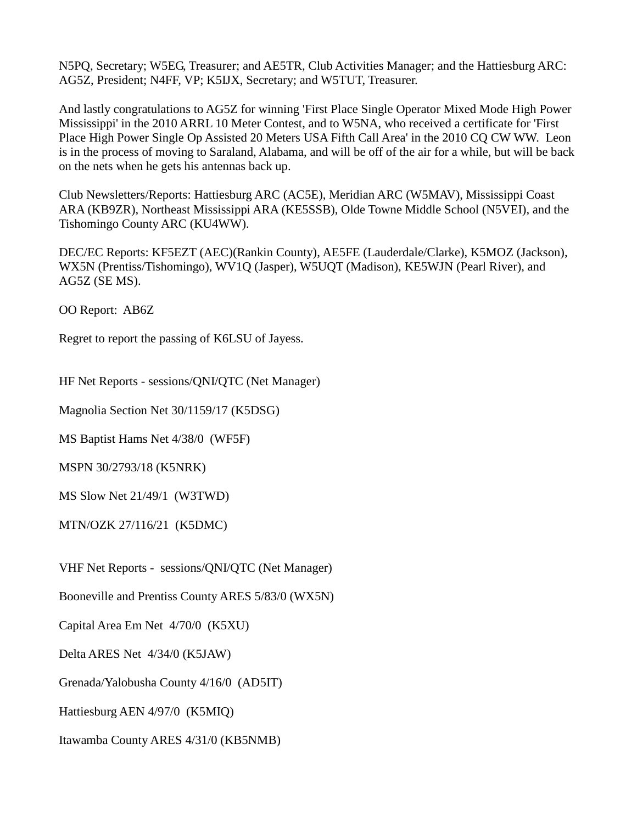N5PQ, Secretary; W5EG, Treasurer; and AE5TR, Club Activities Manager; and the Hattiesburg ARC: AG5Z, President; N4FF, VP; K5IJX, Secretary; and W5TUT, Treasurer.

And lastly congratulations to AG5Z for winning 'First Place Single Operator Mixed Mode High Power Mississippi' in the 2010 ARRL 10 Meter Contest, and to W5NA, who received a certificate for 'First Place High Power Single Op Assisted 20 Meters USA Fifth Call Area' in the 2010 CQ CW WW. Leon is in the process of moving to Saraland, Alabama, and will be off of the air for a while, but will be back on the nets when he gets his antennas back up.

Club Newsletters/Reports: Hattiesburg ARC (AC5E), Meridian ARC (W5MAV), Mississippi Coast ARA (KB9ZR), Northeast Mississippi ARA (KE5SSB), Olde Towne Middle School (N5VEI), and the Tishomingo County ARC (KU4WW).

DEC/EC Reports: KF5EZT (AEC)(Rankin County), AE5FE (Lauderdale/Clarke), K5MOZ (Jackson), WX5N (Prentiss/Tishomingo), WV1Q (Jasper), W5UQT (Madison), KE5WJN (Pearl River), and AG5Z (SE MS).

OO Report: AB6Z

Regret to report the passing of K6LSU of Jayess.

HF Net Reports - sessions/QNI/QTC (Net Manager)

Magnolia Section Net 30/1159/17 (K5DSG)

MS Baptist Hams Net 4/38/0 (WF5F)

MSPN 30/2793/18 (K5NRK)

MS Slow Net 21/49/1 (W3TWD)

MTN/OZK 27/116/21 (K5DMC)

VHF Net Reports - sessions/QNI/QTC (Net Manager)

Booneville and Prentiss County ARES 5/83/0 (WX5N)

Capital Area Em Net 4/70/0 (K5XU)

Delta ARES Net 4/34/0 (K5JAW)

Grenada/Yalobusha County 4/16/0 (AD5IT)

Hattiesburg AEN 4/97/0 (K5MIQ)

Itawamba County ARES 4/31/0 (KB5NMB)